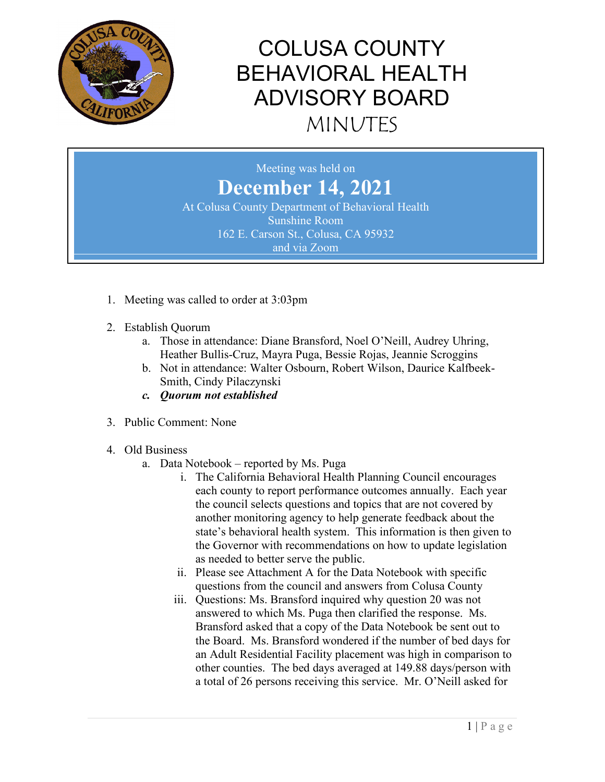

Meeting was held on **December 14, 2021** At Colusa County Department of Behavioral Health Sunshine Room 162 E. Carson St., Colusa, CA 95932

and via Zoom

- 1. Meeting was called to order at 3:03pm
- 2. Establish Quorum
	- a. Those in attendance: Diane Bransford, Noel O'Neill, Audrey Uhring, Heather Bullis-Cruz, Mayra Puga, Bessie Rojas, Jeannie Scroggins
	- b. Not in attendance: Walter Osbourn, Robert Wilson, Daurice Kalfbeek-Smith, Cindy Pilaczynski
	- *c. Quorum not established*
- 3. Public Comment: None
- 4. Old Business
	- a. Data Notebook reported by Ms. Puga
		- i. The California Behavioral Health Planning Council encourages each county to report performance outcomes annually. Each year the council selects questions and topics that are not covered by another monitoring agency to help generate feedback about the state's behavioral health system. This information is then given to the Governor with recommendations on how to update legislation as needed to better serve the public.
		- ii. Please see Attachment A for the Data Notebook with specific questions from the council and answers from Colusa County
		- iii. Questions: Ms. Bransford inquired why question 20 was not answered to which Ms. Puga then clarified the response. Ms. Bransford asked that a copy of the Data Notebook be sent out to the Board. Ms. Bransford wondered if the number of bed days for an Adult Residential Facility placement was high in comparison to other counties. The bed days averaged at 149.88 days/person with a total of 26 persons receiving this service. Mr. O'Neill asked for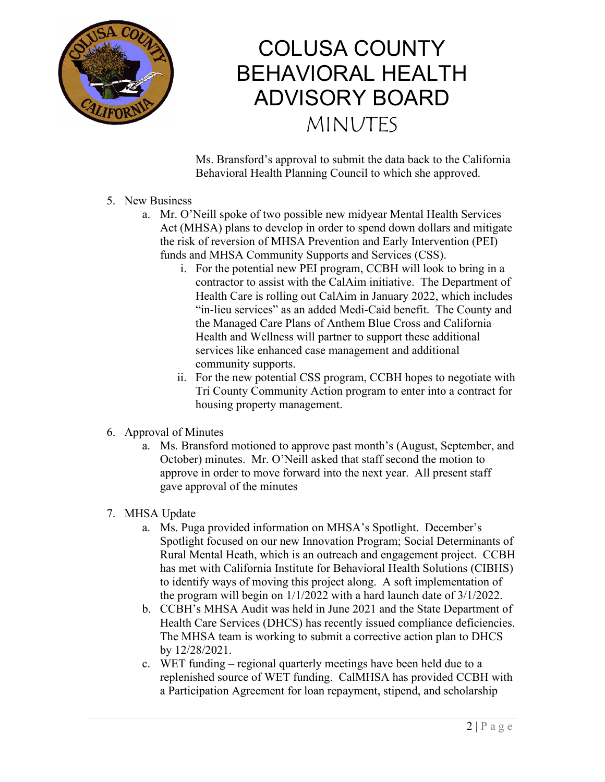

Ms. Bransford's approval to submit the data back to the California Behavioral Health Planning Council to which she approved.

- 5. New Business
	- a. Mr. O'Neill spoke of two possible new midyear Mental Health Services Act (MHSA) plans to develop in order to spend down dollars and mitigate the risk of reversion of MHSA Prevention and Early Intervention (PEI) funds and MHSA Community Supports and Services (CSS).
		- i. For the potential new PEI program, CCBH will look to bring in a contractor to assist with the CalAim initiative. The Department of Health Care is rolling out CalAim in January 2022, which includes "in-lieu services" as an added Medi-Caid benefit. The County and the Managed Care Plans of Anthem Blue Cross and California Health and Wellness will partner to support these additional services like enhanced case management and additional community supports.
		- ii. For the new potential CSS program, CCBH hopes to negotiate with Tri County Community Action program to enter into a contract for housing property management.

#### 6. Approval of Minutes

a. Ms. Bransford motioned to approve past month's (August, September, and October) minutes. Mr. O'Neill asked that staff second the motion to approve in order to move forward into the next year. All present staff gave approval of the minutes

#### 7. MHSA Update

- a. Ms. Puga provided information on MHSA's Spotlight. December's Spotlight focused on our new Innovation Program; Social Determinants of Rural Mental Heath, which is an outreach and engagement project. CCBH has met with California Institute for Behavioral Health Solutions (CIBHS) to identify ways of moving this project along. A soft implementation of the program will begin on 1/1/2022 with a hard launch date of 3/1/2022.
- b. CCBH's MHSA Audit was held in June 2021 and the State Department of Health Care Services (DHCS) has recently issued compliance deficiencies. The MHSA team is working to submit a corrective action plan to DHCS by 12/28/2021.
- c. WET funding regional quarterly meetings have been held due to a replenished source of WET funding. CalMHSA has provided CCBH with a Participation Agreement for loan repayment, stipend, and scholarship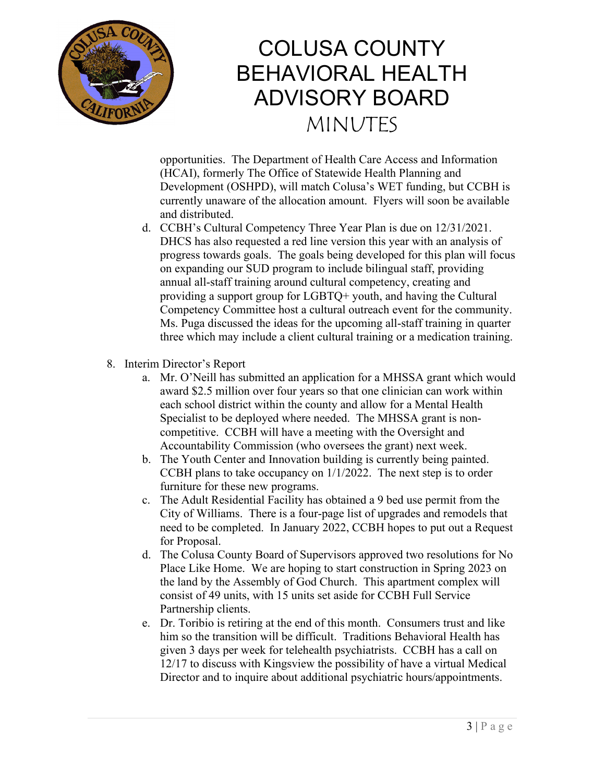

opportunities. The Department of Health Care Access and Information (HCAI), formerly The Office of Statewide Health Planning and Development (OSHPD), will match Colusa's WET funding, but CCBH is currently unaware of the allocation amount. Flyers will soon be available and distributed.

- d. CCBH's Cultural Competency Three Year Plan is due on 12/31/2021. DHCS has also requested a red line version this year with an analysis of progress towards goals. The goals being developed for this plan will focus on expanding our SUD program to include bilingual staff, providing annual all-staff training around cultural competency, creating and providing a support group for LGBTQ+ youth, and having the Cultural Competency Committee host a cultural outreach event for the community. Ms. Puga discussed the ideas for the upcoming all-staff training in quarter three which may include a client cultural training or a medication training.
- 8. Interim Director's Report
	- a. Mr. O'Neill has submitted an application for a MHSSA grant which would award \$2.5 million over four years so that one clinician can work within each school district within the county and allow for a Mental Health Specialist to be deployed where needed. The MHSSA grant is noncompetitive. CCBH will have a meeting with the Oversight and Accountability Commission (who oversees the grant) next week.
	- b. The Youth Center and Innovation building is currently being painted. CCBH plans to take occupancy on 1/1/2022. The next step is to order furniture for these new programs.
	- c. The Adult Residential Facility has obtained a 9 bed use permit from the City of Williams. There is a four-page list of upgrades and remodels that need to be completed. In January 2022, CCBH hopes to put out a Request for Proposal.
	- d. The Colusa County Board of Supervisors approved two resolutions for No Place Like Home. We are hoping to start construction in Spring 2023 on the land by the Assembly of God Church. This apartment complex will consist of 49 units, with 15 units set aside for CCBH Full Service Partnership clients.
	- e. Dr. Toribio is retiring at the end of this month. Consumers trust and like him so the transition will be difficult. Traditions Behavioral Health has given 3 days per week for telehealth psychiatrists. CCBH has a call on 12/17 to discuss with Kingsview the possibility of have a virtual Medical Director and to inquire about additional psychiatric hours/appointments.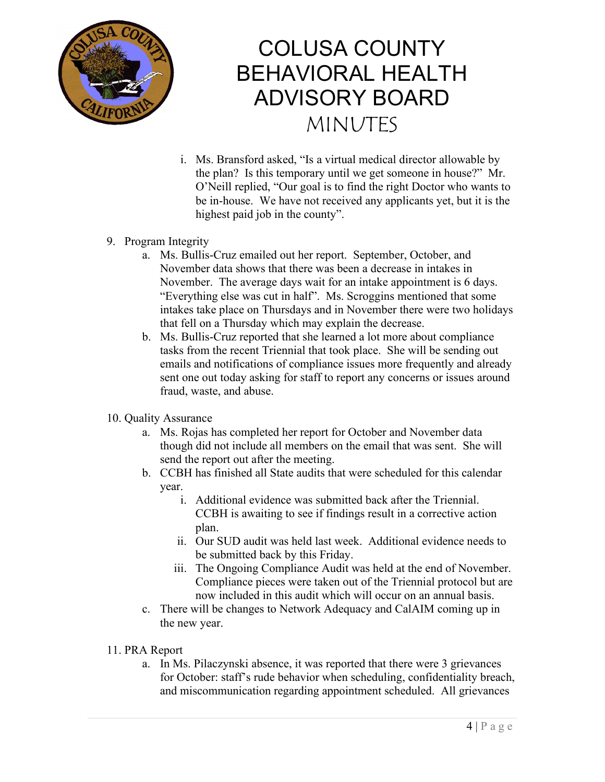

- i. Ms. Bransford asked, "Is a virtual medical director allowable by the plan? Is this temporary until we get someone in house?" Mr. O'Neill replied, "Our goal is to find the right Doctor who wants to be in-house. We have not received any applicants yet, but it is the highest paid job in the county".
- 9. Program Integrity
	- a. Ms. Bullis-Cruz emailed out her report. September, October, and November data shows that there was been a decrease in intakes in November. The average days wait for an intake appointment is 6 days. "Everything else was cut in half". Ms. Scroggins mentioned that some intakes take place on Thursdays and in November there were two holidays that fell on a Thursday which may explain the decrease.
	- b. Ms. Bullis-Cruz reported that she learned a lot more about compliance tasks from the recent Triennial that took place. She will be sending out emails and notifications of compliance issues more frequently and already sent one out today asking for staff to report any concerns or issues around fraud, waste, and abuse.
- 10. Quality Assurance
	- a. Ms. Rojas has completed her report for October and November data though did not include all members on the email that was sent. She will send the report out after the meeting.
	- b. CCBH has finished all State audits that were scheduled for this calendar year.
		- i. Additional evidence was submitted back after the Triennial. CCBH is awaiting to see if findings result in a corrective action plan.
		- ii. Our SUD audit was held last week. Additional evidence needs to be submitted back by this Friday.
		- iii. The Ongoing Compliance Audit was held at the end of November. Compliance pieces were taken out of the Triennial protocol but are now included in this audit which will occur on an annual basis.
	- c. There will be changes to Network Adequacy and CalAIM coming up in the new year.
- 11. PRA Report
	- a. In Ms. Pilaczynski absence, it was reported that there were 3 grievances for October: staff's rude behavior when scheduling, confidentiality breach, and miscommunication regarding appointment scheduled. All grievances